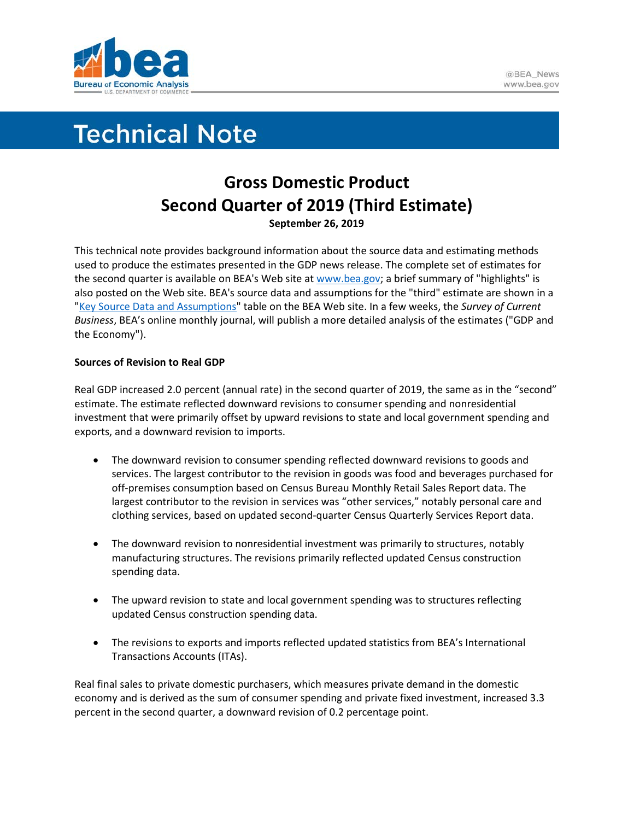

# **Technical Note**

# **Gross Domestic Product Second Quarter of 2019 (Third Estimate) September 26, 2019**

This technical note provides background information about the source data and estimating methods used to produce the estimates presented in the GDP news release. The complete set of estimates for the second quarter is available on BEA's Web site a[t www.bea.gov;](http://www.bea.gov/) a brief summary of "highlights" is also posted on the Web site. BEA's source data and assumptions for the "third" estimate are shown in a ["Key Source Data and Assumptions"](https://www.bea.gov/system/files/2019-09/GDPKeySource_2q19_09-26-19.xlsx) table on the BEA Web site. In a few weeks, the *Survey of Current Business*, BEA's online monthly journal, will publish a more detailed analysis of the estimates ("GDP and the Economy").

## **Sources of Revision to Real GDP**

Real GDP increased 2.0 percent (annual rate) in the second quarter of 2019, the same as in the "second" estimate. The estimate reflected downward revisions to consumer spending and nonresidential investment that were primarily offset by upward revisions to state and local government spending and exports, and a downward revision to imports.

- The downward revision to consumer spending reflected downward revisions to goods and services. The largest contributor to the revision in goods was food and beverages purchased for off-premises consumption based on Census Bureau Monthly Retail Sales Report data. The largest contributor to the revision in services was "other services," notably personal care and clothing services, based on updated second-quarter Census Quarterly Services Report data.
- The downward revision to nonresidential investment was primarily to structures, notably manufacturing structures. The revisions primarily reflected updated Census construction spending data.
- The upward revision to state and local government spending was to structures reflecting updated Census construction spending data.
- The revisions to exports and imports reflected updated statistics from BEA's International Transactions Accounts (ITAs).

Real final sales to private domestic purchasers, which measures private demand in the domestic economy and is derived as the sum of consumer spending and private fixed investment, increased 3.3 percent in the second quarter, a downward revision of 0.2 percentage point.